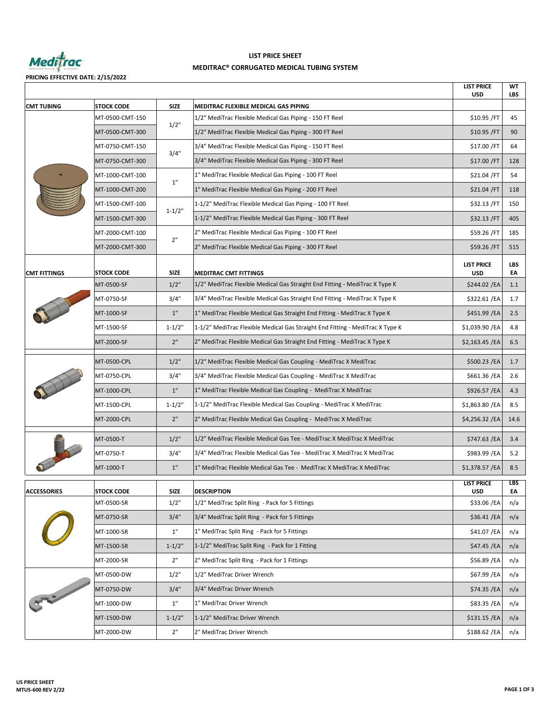

# **MEDITRAC® CORRUGATED MEDICAL TUBING SYSTEM LIST PRICE SHEET**

**PRICING EFFECTIVE DATE: 2/15/2022**

|                     |                   |             |                                                                               | <b>LIST PRICE</b><br><b>USD</b> | WТ<br><b>LBS</b> |
|---------------------|-------------------|-------------|-------------------------------------------------------------------------------|---------------------------------|------------------|
| <b>CMT TUBING</b>   | <b>STOCK CODE</b> | <b>SIZE</b> | MEDITRAC FLEXIBLE MEDICAL GAS PIPING                                          |                                 |                  |
|                     | MT-0500-CMT-150   | 1/2"        | 1/2" MediTrac Flexible Medical Gas Piping - 150 FT Reel                       | \$10.95 / FT                    | 45               |
|                     | MT-0500-CMT-300   |             | 1/2" MediTrac Flexible Medical Gas Piping - 300 FT Reel                       | \$10.95 / FT                    | 90               |
|                     | MT-0750-CMT-150   | 3/4"        | 3/4" MediTrac Flexible Medical Gas Piping - 150 FT Reel                       | \$17.00 /FT                     | 64               |
|                     | MT-0750-CMT-300   |             | 3/4" MediTrac Flexible Medical Gas Piping - 300 FT Reel                       | \$17.00 / FT                    | 128              |
|                     | MT-1000-CMT-100   | 1"          | 1" MediTrac Flexible Medical Gas Piping - 100 FT Reel                         | \$21.04 /FT                     | 54               |
|                     | MT-1000-CMT-200   |             | 1" MediTrac Flexible Medical Gas Piping - 200 FT Reel                         | \$21.04 / FT                    | 118              |
|                     | MT-1500-CMT-100   | $1 - 1/2"$  | 1-1/2" MediTrac Flexible Medical Gas Piping - 100 FT Reel                     | \$32.13 / FT                    | 150              |
|                     | MT-1500-CMT-300   |             | 1-1/2" MediTrac Flexible Medical Gas Piping - 300 FT Reel                     | \$32.13 / FT                    | 405              |
|                     | MT-2000-CMT-100   |             | 2" MediTrac Flexible Medical Gas Piping - 100 FT Reel                         | \$59.26 /FT                     | 185              |
|                     | MT-2000-CMT-300   | 2"          | 2" MediTrac Flexible Medical Gas Piping - 300 FT Reel                         | \$59.26 / FT                    | 515              |
|                     |                   |             |                                                                               | <b>LIST PRICE</b>               | <b>LBS</b>       |
| <b>CMT FITTINGS</b> | <b>STOCK CODE</b> | <b>SIZE</b> | <b>MEDITRAC CMT FITTINGS</b>                                                  | <b>USD</b>                      | EA               |
|                     | MT-0500-SF        | 1/2"        | 1/2" MediTrac Flexible Medical Gas Straight End Fitting - MediTrac X Type K   | \$244.02 / EA                   | 1.1              |
|                     | MT-0750-SF        | 3/4"        | 3/4" MediTrac Flexible Medical Gas Straight End Fitting - MediTrac X Type K   | \$322.61 / EA                   | 1.7              |
|                     | MT-1000-SF        | 1"          | 1" MediTrac Flexible Medical Gas Straight End Fitting - MediTrac X Type K     | \$451.99 / EA                   | 2.5              |
|                     | MT-1500-SF        | $1 - 1/2"$  | 1-1/2" MediTrac Flexible Medical Gas Straight End Fitting - MediTrac X Type K | \$1,039.90 /EA                  | 4.8              |
|                     | MT-2000-SF        | 2"          | 2" MediTrac Flexible Medical Gas Straight End Fitting - MediTrac X Type K     | $$2,163.45$ /EA                 | 6.5              |
|                     | MT-0500-CPL       | 1/2"        | 1/2" MediTrac Flexible Medical Gas Coupling - MediTrac X MediTrac             | \$500.23 /EA                    | 1.7              |
|                     | MT-0750-CPL       | 3/4"        | 3/4" MediTrac Flexible Medical Gas Coupling - MediTrac X MediTrac             | \$661.36 /EA                    | 2.6              |
|                     | MT-1000-CPL       | 1"          | 1" MediTrac Flexible Medical Gas Coupling - MediTrac X MediTrac               | \$926.57 / EA                   | 4.3              |
|                     | MT-1500-CPL       | $1 - 1/2"$  | 1-1/2" MediTrac Flexible Medical Gas Coupling - MediTrac X MediTrac           | \$1,863.80 / EA                 | 8.5              |
|                     | MT-2000-CPL       | 2"          | 2" MediTrac Flexible Medical Gas Coupling - MediTrac X MediTrac               | $$4,256.32$ /EA                 | 14.6             |
|                     | MT-0500-T         | 1/2"        | 1/2" MediTrac Flexible Medical Gas Tee - MediTrac X MediTrac X MediTrac       | \$747.63 /EA                    | 3.4              |
|                     | MT-0750-T         | 3/4"        | 3/4" MediTrac Flexible Medical Gas Tee - MediTrac X MediTrac X MediTrac       | \$983.99 / EA                   | 5.2              |
|                     | MT-1000-T         | 1"          | 1" MediTrac Flexible Medical Gas Tee - MediTrac X MediTrac X MediTrac         | $$1,378.57$ /EA                 | 8.5              |
| <b>ACCESSORIES</b>  | <b>STOCK CODE</b> | SIZE        | <b>DESCRIPTION</b>                                                            | <b>LIST PRICE</b><br><b>USD</b> | <b>LBS</b><br>EA |
|                     | MT-0500-SR        | 1/2"        | 1/2" MediTrac Split Ring - Pack for 5 Fittings                                | \$33.06 / EA                    | n/a              |
|                     | MT-0750-SR        | 3/4"        | 3/4" MediTrac Split Ring - Pack for 5 Fittings                                | \$36.41 / EA                    | n/a              |
|                     | MT-1000-SR        | 1"          | 1" MediTrac Split Ring - Pack for 5 Fittings                                  | \$41.07 / EA                    | n/a              |
|                     | MT-1500-SR        | $1 - 1/2"$  | 1-1/2" MediTrac Split Ring - Pack for 1 Fitting                               | \$47.45 / EA                    | n/a              |
|                     | MT-2000-SR        | 2"          | 2" MediTrac Split Ring - Pack for 1 Fittings                                  | \$56.89 / EA                    | n/a              |
| $R^2$               | MT-0500-DW        | 1/2"        | 1/2" MediTrac Driver Wrench                                                   | \$67.99 / EA                    | n/a              |
|                     | MT-0750-DW        | 3/4"        | 3/4" MediTrac Driver Wrench                                                   | \$74.35 / EA                    | n/a              |
|                     | MT-1000-DW        | 1"          | 1" MediTrac Driver Wrench                                                     | \$83.35 /EA                     | n/a              |
|                     | MT-1500-DW        | $1 - 1/2"$  | 1-1/2" MediTrac Driver Wrench                                                 | $$131.15$ /EA                   | n/a              |
|                     | MT-2000-DW        | 2"          | 2" MediTrac Driver Wrench                                                     | \$188.62 / EA                   | n/a              |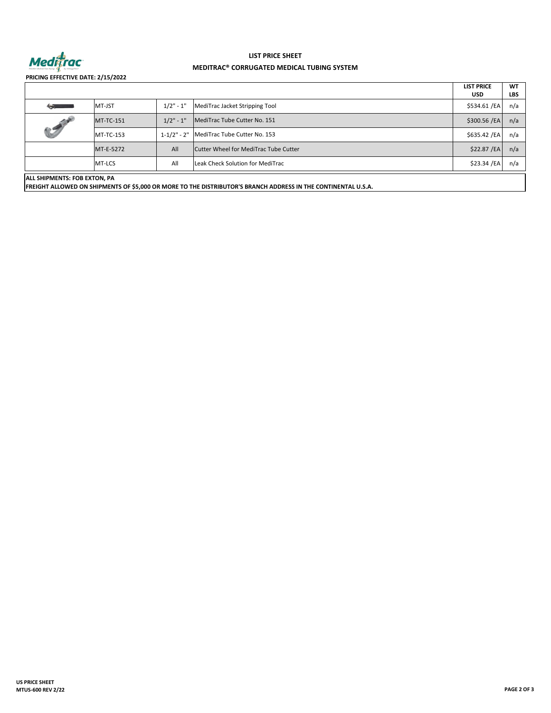

# **MEDITRAC® CORRUGATED MEDICAL TUBING SYSTEM LIST PRICE SHEET**

**PRICING EFFECTIVE DATE: 2/15/2022**

|                             |                  |                 |                                       | <b>LIST PRICE</b><br><b>USD</b> | <b>WT</b><br><b>LBS</b> |  |  |  |
|-----------------------------|------------------|-----------------|---------------------------------------|---------------------------------|-------------------------|--|--|--|
| <b>Columns</b>              | MT-JST           | $1/2" - 1"$     | MediTrac Jacket Stripping Tool        | \$534.61 /EA                    | n/a                     |  |  |  |
| <b>CONTROLL</b>             | <b>MT-TC-151</b> | $1/2" - 1"$     | MediTrac Tube Cutter No. 151          | \$300.56 /EA                    | n/a                     |  |  |  |
|                             | <b>MT-TC-153</b> | $1 - 1/2" - 2"$ | MediTrac Tube Cutter No. 153          | \$635.42 /EA                    | n/a                     |  |  |  |
|                             | MT-E-5272        | All             | Cutter Wheel for MediTrac Tube Cutter | \$22.87 / EA                    | n/a                     |  |  |  |
|                             | MT-LCS           | All             | Leak Check Solution for MediTrac      | \$23.34 /EA                     | n/a                     |  |  |  |
| AU CHIDNERITC, FOR EVTON DA |                  |                 |                                       |                                 |                         |  |  |  |

**ALL SHIPMENTS: FOB EXTON, PA**

ALL SHIPMENTS: FOB EXTON, PA<br>FREIGHT ALLOWED ON SHIPMENTS OF \$5,000 OR MORE TO THE DISTRIBUTOR'S BRANCH ADDRESS IN THE CONTINENTAL U.S.A.